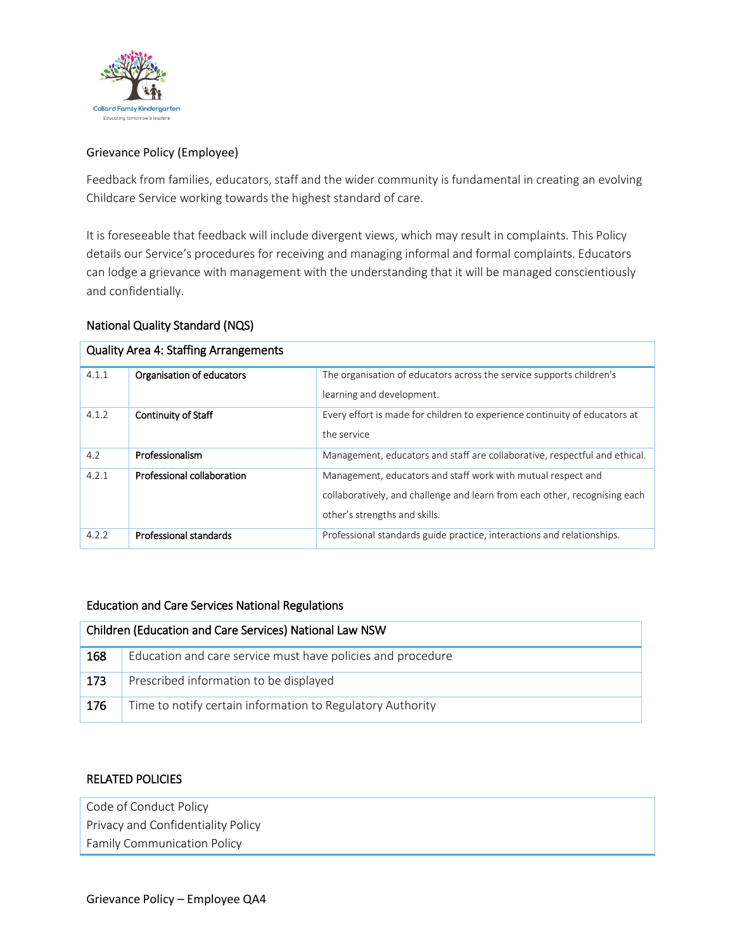

# Grievance Policy (Employee)

Feedback from families, educators, staff and the wider community is fundamental in creating an evolving Childcare Service working towards the highest standard of care.

It is foreseeable that feedback will include divergent views, which may result in complaints. This Policy details our Service's procedures for receiving and managing informal and formal complaints. Educators can lodge a grievance with management with the understanding that it will be managed conscientiously and confidentially.

### National Quality Standard (NQS)

| <b>Quality Area 4: Staffing Arrangements</b> |                            |                                                                            |  |  |  |
|----------------------------------------------|----------------------------|----------------------------------------------------------------------------|--|--|--|
| 4.1.1                                        | Organisation of educators  | The organisation of educators across the service supports children's       |  |  |  |
|                                              |                            | learning and development.                                                  |  |  |  |
| 4.1.2                                        | <b>Continuity of Staff</b> | Every effort is made for children to experience continuity of educators at |  |  |  |
|                                              |                            | the service                                                                |  |  |  |
| 4.2                                          | Professionalism            | Management, educators and staff are collaborative, respectful and ethical. |  |  |  |
| 4.2.1                                        | Professional collaboration | Management, educators and staff work with mutual respect and               |  |  |  |
|                                              |                            | collaboratively, and challenge and learn from each other, recognising each |  |  |  |
|                                              |                            | other's strengths and skills.                                              |  |  |  |
| 4.2.2                                        | Professional standards     | Professional standards guide practice, interactions and relationships.     |  |  |  |

#### Education and Care Services National Regulations

| Children (Education and Care Services) National Law NSW |                                                             |  |
|---------------------------------------------------------|-------------------------------------------------------------|--|
| 168                                                     | Education and care service must have policies and procedure |  |
| 173                                                     | Prescribed information to be displayed                      |  |
| 176                                                     | Time to notify certain information to Regulatory Authority  |  |

#### RELATED POLICIES

| Code of Conduct Policy             |
|------------------------------------|
| Privacy and Confidentiality Policy |
| <b>Family Communication Policy</b> |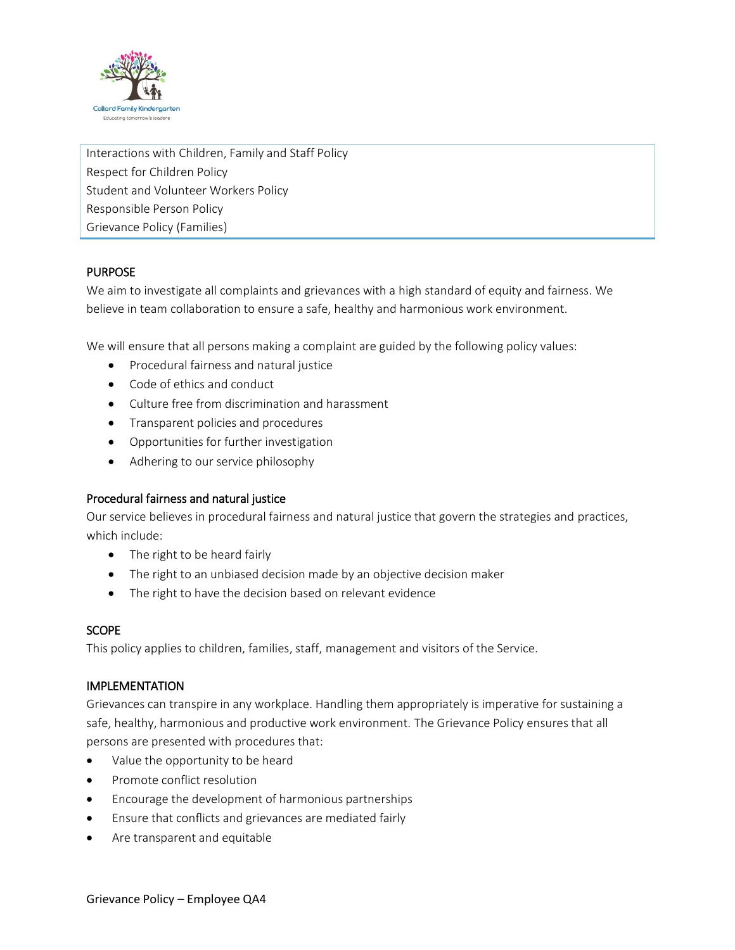

Interactions with Children, Family and Staff Policy Respect for Children Policy Student and Volunteer Workers Policy Responsible Person Policy Grievance Policy (Families)

# PURPOSE

We aim to investigate all complaints and grievances with a high standard of equity and fairness. We believe in team collaboration to ensure a safe, healthy and harmonious work environment.

We will ensure that all persons making a complaint are guided by the following policy values:

- Procedural fairness and natural justice
- Code of ethics and conduct
- Culture free from discrimination and harassment
- **•** Transparent policies and procedures
- Opportunities for further investigation
- Adhering to our service philosophy

#### Procedural fairness and natural justice

Our service believes in procedural fairness and natural justice that govern the strategies and practices, which include:

- The right to be heard fairly
- The right to an unbiased decision made by an objective decision maker
- The right to have the decision based on relevant evidence

#### **SCOPE**

This policy applies to children, families, staff, management and visitors of the Service.

#### IMPLEMENTATION

Grievances can transpire in any workplace. Handling them appropriately is imperative for sustaining a safe, healthy, harmonious and productive work environment. The Grievance Policy ensures that all persons are presented with procedures that:

- Value the opportunity to be heard
- Promote conflict resolution
- Encourage the development of harmonious partnerships
- Ensure that conflicts and grievances are mediated fairly
- Are transparent and equitable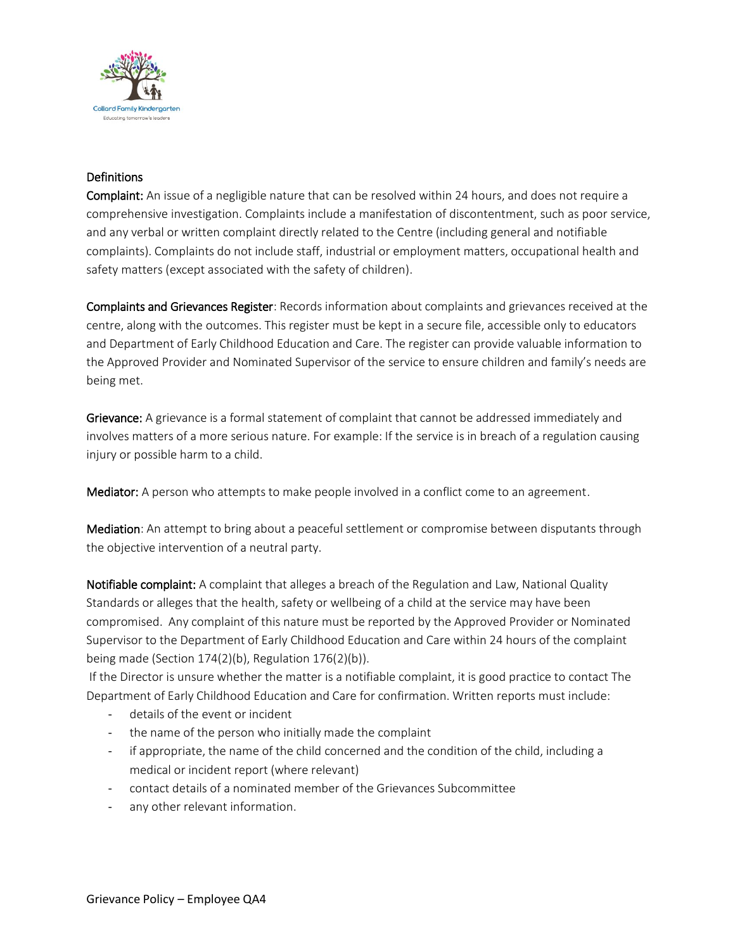

# **Definitions**

Complaint: An issue of a negligible nature that can be resolved within 24 hours, and does not require a comprehensive investigation. Complaints include a manifestation of discontentment, such as poor service, and any verbal or written complaint directly related to the Centre (including general and notifiable complaints). Complaints do not include staff, industrial or employment matters, occupational health and safety matters (except associated with the safety of children).

Complaints and Grievances Register: Records information about complaints and grievances received at the centre, along with the outcomes. This register must be kept in a secure file, accessible only to educators and Department of Early Childhood Education and Care. The register can provide valuable information to the Approved Provider and Nominated Supervisor of the service to ensure children and family's needs are being met.

Grievance: A grievance is a formal statement of complaint that cannot be addressed immediately and involves matters of a more serious nature. For example: If the service is in breach of a regulation causing injury or possible harm to a child.

Mediator: A person who attempts to make people involved in a conflict come to an agreement.

Mediation: An attempt to bring about a peaceful settlement or compromise between disputants through the objective intervention of a neutral party.

Notifiable complaint: A complaint that alleges a breach of the Regulation and Law, National Quality Standards or alleges that the health, safety or wellbeing of a child at the service may have been compromised. Any complaint of this nature must be reported by the Approved Provider or Nominated Supervisor to the Department of Early Childhood Education and Care within 24 hours of the complaint being made (Section 174(2)(b), Regulation 176(2)(b)).

If the Director is unsure whether the matter is a notifiable complaint, it is good practice to contact The Department of Early Childhood Education and Care for confirmation. Written reports must include:

- details of the event or incident
- the name of the person who initially made the complaint
- if appropriate, the name of the child concerned and the condition of the child, including a medical or incident report (where relevant)
- contact details of a nominated member of the Grievances Subcommittee
- any other relevant information.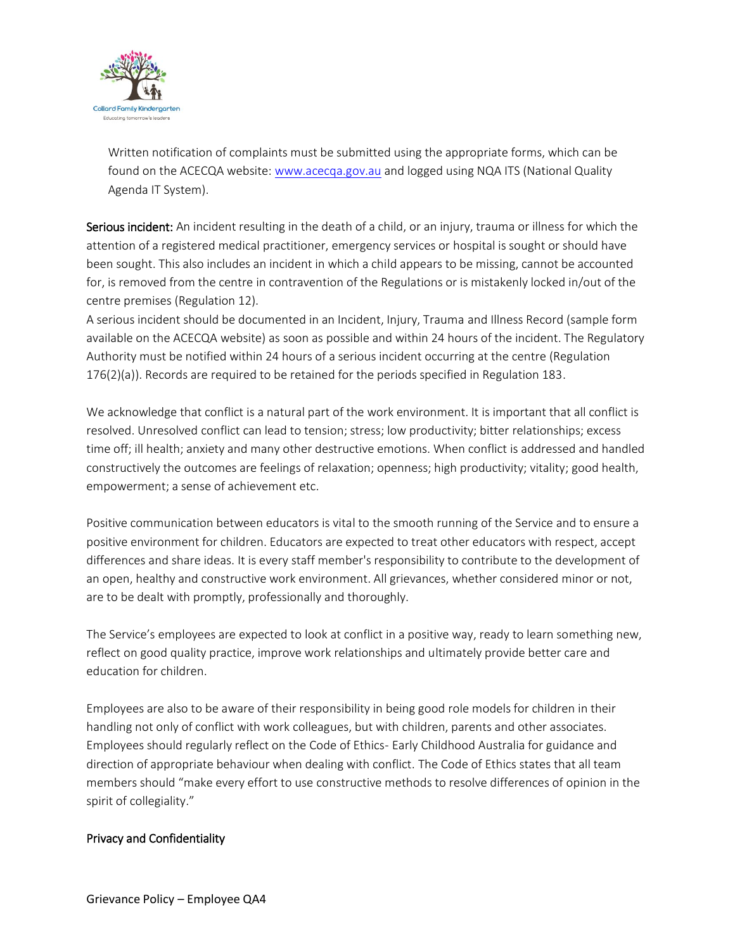

Written notification of complaints must be submitted using the appropriate forms, which can be found on the ACECQA website: [www.acecqa.gov.au](http://www.acecqa.gov.au/) and logged using NQA ITS (National Quality Agenda IT System).

Serious incident: An incident resulting in the death of a child, or an injury, trauma or illness for which the attention of a registered medical practitioner, emergency services or hospital is sought or should have been sought. This also includes an incident in which a child appears to be missing, cannot be accounted for, is removed from the centre in contravention of the Regulations or is mistakenly locked in/out of the centre premises (Regulation 12).

A serious incident should be documented in an Incident, Injury, Trauma and Illness Record (sample form available on the ACECQA website) as soon as possible and within 24 hours of the incident. The Regulatory Authority must be notified within 24 hours of a serious incident occurring at the centre (Regulation 176(2)(a)). Records are required to be retained for the periods specified in Regulation 183.

We acknowledge that conflict is a natural part of the work environment. It is important that all conflict is resolved. Unresolved conflict can lead to tension; stress; low productivity; bitter relationships; excess time off; ill health; anxiety and many other destructive emotions. When conflict is addressed and handled constructively the outcomes are feelings of relaxation; openness; high productivity; vitality; good health, empowerment; a sense of achievement etc.

Positive communication between educators is vital to the smooth running of the Service and to ensure a positive environment for children. Educators are expected to treat other educators with respect, accept differences and share ideas. It is every staff member's responsibility to contribute to the development of an open, healthy and constructive work environment. All grievances, whether considered minor or not, are to be dealt with promptly, professionally and thoroughly.

The Service's employees are expected to look at conflict in a positive way, ready to learn something new, reflect on good quality practice, improve work relationships and ultimately provide better care and education for children.

Employees are also to be aware of their responsibility in being good role models for children in their handling not only of conflict with work colleagues, but with children, parents and other associates. Employees should regularly reflect on the Code of Ethics- Early Childhood Australia for guidance and direction of appropriate behaviour when dealing with conflict. The Code of Ethics states that all team members should "make every effort to use constructive methods to resolve differences of opinion in the spirit of collegiality."

#### Privacy and Confidentiality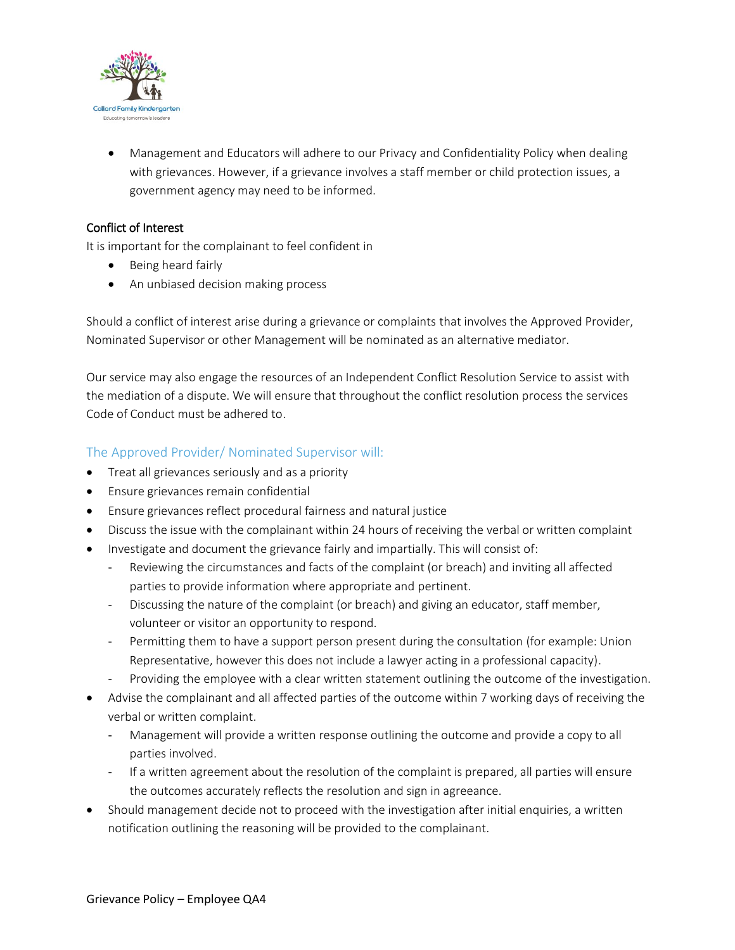

 Management and Educators will adhere to our Privacy and Confidentiality Policy when dealing with grievances. However, if a grievance involves a staff member or child protection issues, a government agency may need to be informed.

### Conflict of Interest

It is important for the complainant to feel confident in

- Being heard fairly
- An unbiased decision making process

Should a conflict of interest arise during a grievance or complaints that involves the Approved Provider, Nominated Supervisor or other Management will be nominated as an alternative mediator.

Our service may also engage the resources of an Independent Conflict Resolution Service to assist with the mediation of a dispute. We will ensure that throughout the conflict resolution process the services Code of Conduct must be adhered to.

### The Approved Provider/ Nominated Supervisor will:

- Treat all grievances seriously and as a priority
- Ensure grievances remain confidential
- Ensure grievances reflect procedural fairness and natural justice
- Discuss the issue with the complainant within 24 hours of receiving the verbal or written complaint
- Investigate and document the grievance fairly and impartially. This will consist of:
	- Reviewing the circumstances and facts of the complaint (or breach) and inviting all affected parties to provide information where appropriate and pertinent.
	- Discussing the nature of the complaint (or breach) and giving an educator, staff member, volunteer or visitor an opportunity to respond.
	- Permitting them to have a support person present during the consultation (for example: Union Representative, however this does not include a lawyer acting in a professional capacity).
	- Providing the employee with a clear written statement outlining the outcome of the investigation.
- Advise the complainant and all affected parties of the outcome within 7 working days of receiving the verbal or written complaint.
	- Management will provide a written response outlining the outcome and provide a copy to all parties involved.
	- If a written agreement about the resolution of the complaint is prepared, all parties will ensure the outcomes accurately reflects the resolution and sign in agreeance.
- Should management decide not to proceed with the investigation after initial enquiries, a written notification outlining the reasoning will be provided to the complainant.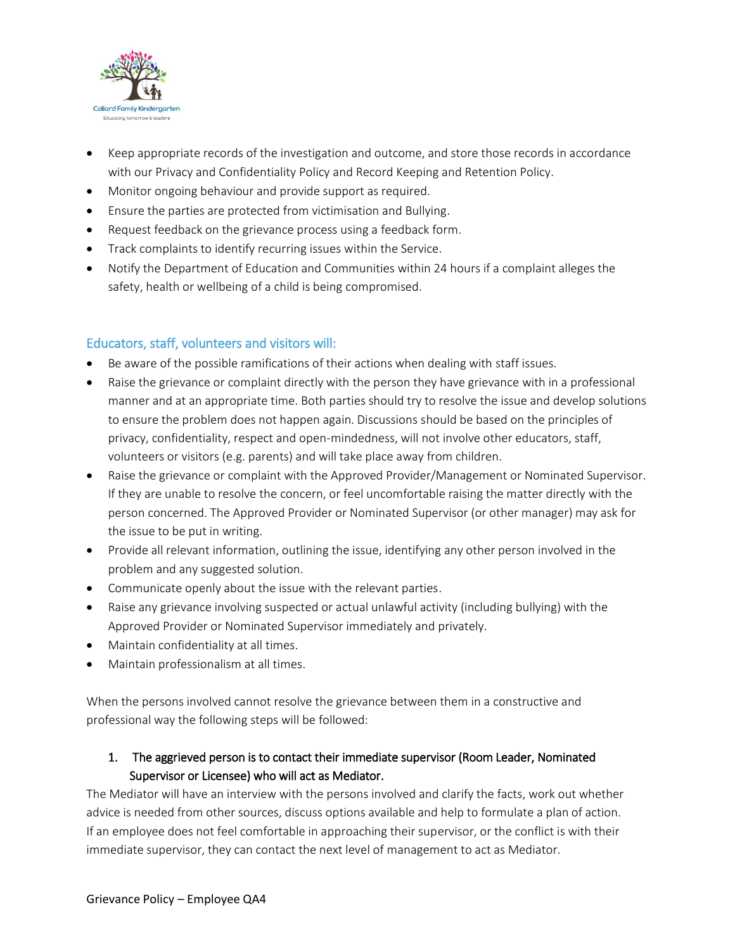

- Keep appropriate records of the investigation and outcome, and store those records in accordance with our Privacy and Confidentiality Policy and Record Keeping and Retention Policy.
- Monitor ongoing behaviour and provide support as required.
- Ensure the parties are protected from victimisation and Bullying.
- Request feedback on the grievance process using a feedback form.
- Track complaints to identify recurring issues within the Service.
- Notify the Department of Education and Communities within 24 hours if a complaint alleges the safety, health or wellbeing of a child is being compromised.

### Educators, staff, volunteers and visitors will:

- Be aware of the possible ramifications of their actions when dealing with staff issues.
- Raise the grievance or complaint directly with the person they have grievance with in a professional manner and at an appropriate time. Both parties should try to resolve the issue and develop solutions to ensure the problem does not happen again. Discussions should be based on the principles of privacy, confidentiality, respect and open-mindedness, will not involve other educators, staff, volunteers or visitors (e.g. parents) and will take place away from children.
- Raise the grievance or complaint with the Approved Provider/Management or Nominated Supervisor. If they are unable to resolve the concern, or feel uncomfortable raising the matter directly with the person concerned. The Approved Provider or Nominated Supervisor (or other manager) may ask for the issue to be put in writing.
- Provide all relevant information, outlining the issue, identifying any other person involved in the problem and any suggested solution.
- Communicate openly about the issue with the relevant parties.
- Raise any grievance involving suspected or actual unlawful activity (including bullying) with the Approved Provider or Nominated Supervisor immediately and privately.
- Maintain confidentiality at all times.
- Maintain professionalism at all times.

When the persons involved cannot resolve the grievance between them in a constructive and professional way the following steps will be followed:

# 1. The aggrieved person is to contact their immediate supervisor (Room Leader, Nominated Supervisor or Licensee) who will act as Mediator.

The Mediator will have an interview with the persons involved and clarify the facts, work out whether advice is needed from other sources, discuss options available and help to formulate a plan of action. If an employee does not feel comfortable in approaching their supervisor, or the conflict is with their immediate supervisor, they can contact the next level of management to act as Mediator.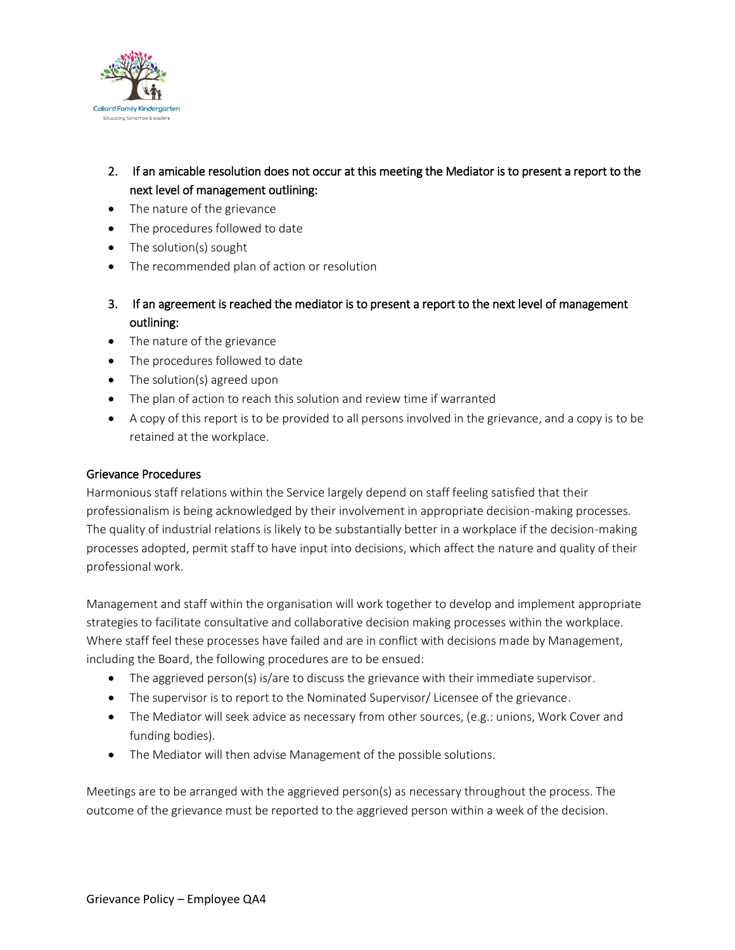

- 2. If an amicable resolution does not occur at this meeting the Mediator is to present a report to the next level of management outlining:
- The nature of the grievance
- The procedures followed to date
- The solution(s) sought
- The recommended plan of action or resolution
- 3. If an agreement is reached the mediator is to present a report to the next level of management outlining:
- The nature of the grievance
- The procedures followed to date
- The solution(s) agreed upon
- The plan of action to reach this solution and review time if warranted
- A copy of this report is to be provided to all persons involved in the grievance, and a copy is to be retained at the workplace.

### Grievance Procedures

Harmonious staff relations within the Service largely depend on staff feeling satisfied that their professionalism is being acknowledged by their involvement in appropriate decision-making processes. The quality of industrial relations is likely to be substantially better in a workplace if the decision-making processes adopted, permit staff to have input into decisions, which affect the nature and quality of their professional work.

Management and staff within the organisation will work together to develop and implement appropriate strategies to facilitate consultative and collaborative decision making processes within the workplace. Where staff feel these processes have failed and are in conflict with decisions made by Management, including the Board, the following procedures are to be ensued:

- The aggrieved person(s) is/are to discuss the grievance with their immediate supervisor.
- The supervisor is to report to the Nominated Supervisor/ Licensee of the grievance.
- The Mediator will seek advice as necessary from other sources, (e.g.: unions, Work Cover and funding bodies).
- The Mediator will then advise Management of the possible solutions.

Meetings are to be arranged with the aggrieved person(s) as necessary throughout the process. The outcome of the grievance must be reported to the aggrieved person within a week of the decision.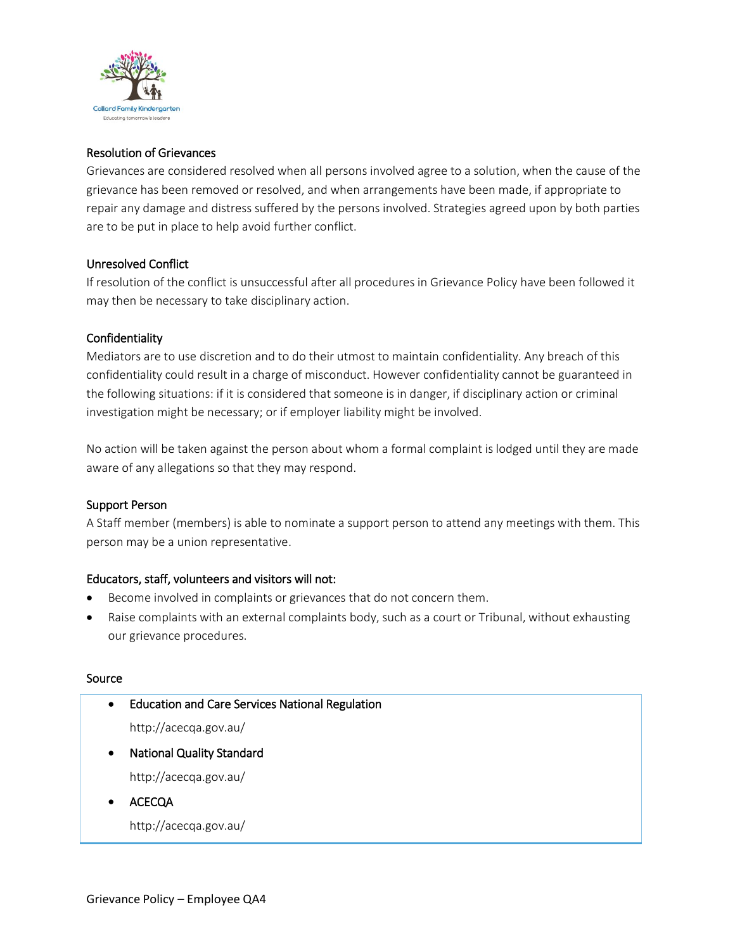

### Resolution of Grievances

Grievances are considered resolved when all persons involved agree to a solution, when the cause of the grievance has been removed or resolved, and when arrangements have been made, if appropriate to repair any damage and distress suffered by the persons involved. Strategies agreed upon by both parties are to be put in place to help avoid further conflict.

### Unresolved Conflict

If resolution of the conflict is unsuccessful after all procedures in Grievance Policy have been followed it may then be necessary to take disciplinary action.

### **Confidentiality**

Mediators are to use discretion and to do their utmost to maintain confidentiality. Any breach of this confidentiality could result in a charge of misconduct. However confidentiality cannot be guaranteed in the following situations: if it is considered that someone is in danger, if disciplinary action or criminal investigation might be necessary; or if employer liability might be involved.

No action will be taken against the person about whom a formal complaint is lodged until they are made aware of any allegations so that they may respond.

#### Support Person

A Staff member (members) is able to nominate a support person to attend any meetings with them. This person may be a union representative.

### Educators, staff, volunteers and visitors will not:

- Become involved in complaints or grievances that do not concern them.
- Raise complaints with an external complaints body, such as a court or Tribunal, without exhausting our grievance procedures.

#### Source

| $\bullet$ | <b>Education and Care Services National Regulation</b> |  |
|-----------|--------------------------------------------------------|--|
|           | http://acecqa.gov.au/                                  |  |
| $\bullet$ | <b>National Quality Standard</b>                       |  |
|           | http://acecqa.gov.au/                                  |  |
|           | ACECQA                                                 |  |
|           | http://acecqa.gov.au/                                  |  |